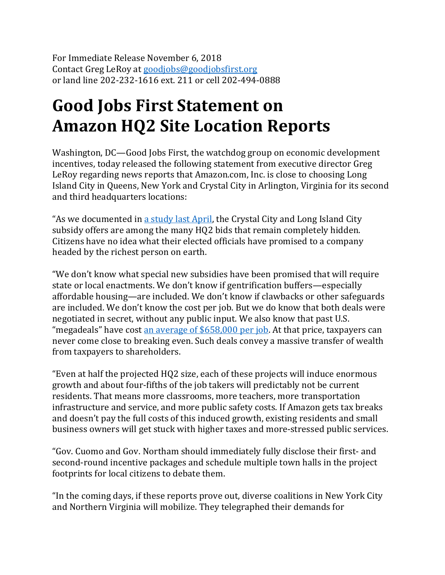For Immediate Release November 6, 2018 Contact Greg LeRoy at [goodjobs@goodjobsfirst.org](mailto:goodjobs@goodjobsfirst.org) or land line 202-232-1616 ext. 211 or cell 202-494-0888

## **Good Jobs First Statement on Amazon HQ2 Site Location Reports**

Washington, DC—Good Jobs First, the watchdog group on economic development incentives, today released the following statement from executive director Greg LeRoy regarding news reports that Amazon.com, Inc. is close to choosing Long Island City in Queens, New York and Crystal City in Arlington, Virginia for its second and third headquarters locations:

"As we documented in [a study last April,](https://www.goodjobsfirst.org/sites/default/files/docs/pdf/amazonauction.pdf) the Crystal City and Long Island City subsidy offers are among the many HQ2 bids that remain completely hidden. Citizens have no idea what their elected officials have promised to a company headed by the richest person on earth.

"We don't know what special new subsidies have been promised that will require state or local enactments. We don't know if gentrification buffers—especially affordable housing—are included. We don't know if clawbacks or other safeguards are included. We don't know the cost per job. But we do know that both deals were negotiated in secret, without any public input. We also know that past U.S. "megadeals" have cost an average of  $$658,000$  per job. At that price, taxpayers can never come close to breaking even. Such deals convey a massive transfer of wealth from taxpayers to shareholders.

"Even at half the projected HQ2 size, each of these projects will induce enormous growth and about four-fifths of the job takers will predictably not be current residents. That means more classrooms, more teachers, more transportation infrastructure and service, and more public safety costs. If Amazon gets tax breaks and doesn't pay the full costs of this induced growth, existing residents and small business owners will get stuck with higher taxes and more-stressed public services.

"Gov. Cuomo and Gov. Northam should immediately fully disclose their first- and second-round incentive packages and schedule multiple town halls in the project footprints for local citizens to debate them.

"In the coming days, if these reports prove out, diverse coalitions in New York City and Northern Virginia will mobilize. They telegraphed their demands for